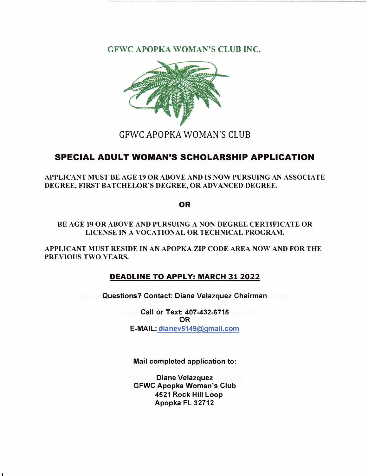**GFWC APOPKA WOMAN'S CLUB INC.** 



## GFWC APOPKA WOMAN'S CLUB

## **SPECIAL ADULT WOMAN'S SCHOLARSHIP APPLICATION**

**APPLICANT MUST BE AGE 19 OR ABOVE AND IS NOW PURSUING AN ASSOCIATE DEGREE, FIRST BATCHELOR'S DEGREE, OR ADVANCED DEGREE.** 

**OR** 

**BE AGE 19 OR ABOVE AND PURSUING A NON-DEGREE CERTIFICATE OR LICENSE IN A VOCATIONAL OR TECHNICAL PROGRAM.** 

**APPLICANT MUST RESIDE IN AN APOPKA ZIP CODE AREA NOW AND FOR THE PREVIOUS TWO YEARS.** 

#### **DEADLINE TO APPLY: MARCH 31 2022**

**Questions? Contact: Diane Velazquez Chairman** 

**Call or Text: 407-432-6715 OR E-MAIL: dianev5149@gmail.com**

**Mail completed application to:** 

**Diane Velazquez GFWC Apopka Woman's Club 4521 Rock Hill Loop Apopka FL 32712**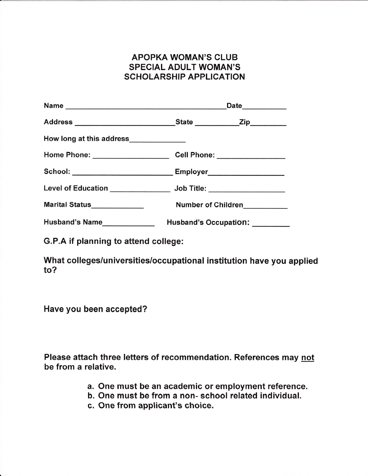### APOPKA WOMAN'S CLUB SPECIAL ADULT WOMAN'S SCHOLARSHIP APPLICATION

| How long at this address_____________                                            |                                |  |
|----------------------------------------------------------------------------------|--------------------------------|--|
| Home Phone: _____________________________Cell Phone: ___________________________ |                                |  |
| School: ___________________________Employer________________________              |                                |  |
| Level of Education _______________ Job Title: __________________                 |                                |  |
| Marital Status______________                                                     | Number of Children             |  |
| Husband's Name                                                                   | Husband's Occupation: ________ |  |

G.P.A if planning to attend college:

What colleges/universities/occupational institution have you applied to?

Have you been accepted?

Please attach three letters of recommendation. References may not be from a relative.

- a. One must be an academic or employment reference,
- b. One must be from a non-school related individual.
- c. One from applicant's choice.